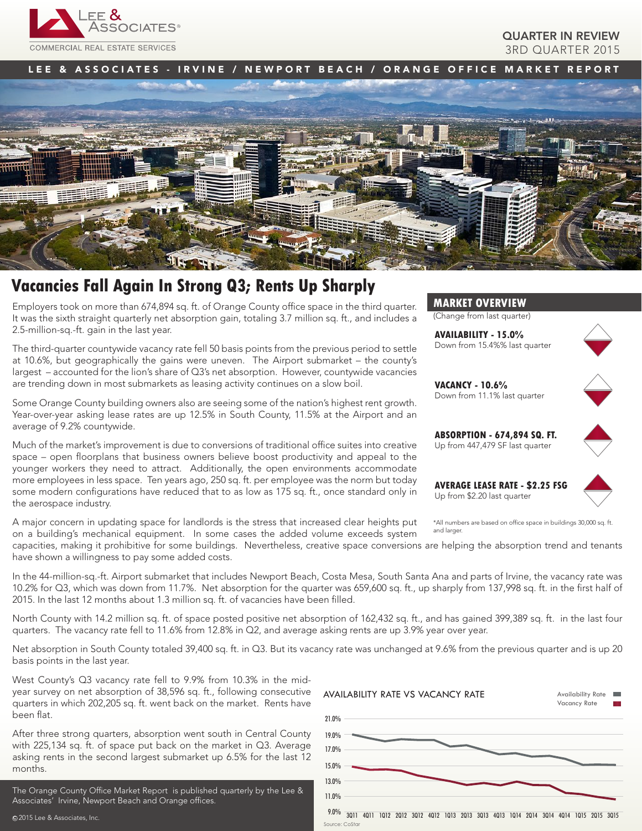

## QUARTER IN REVIEW 3RD QUARTER 2015

## LEE & ASSOCIATES - IRVINE / NEWPORT BEACH / ORANGE OFFICE MARKET REPORT



# **Vacancies Fall Again In Strong Q3; Rents Up Sharply**

Employers took on more than 674,894 sq. ft. of Orange County office space in the third quarter. It was the sixth straight quarterly net absorption gain, totaling 3.7 million sq. ft., and includes a 2.5-million-sq.-ft. gain in the last year.

The third-quarter countywide vacancy rate fell 50 basis points from the previous period to settle at 10.6%, but geographically the gains were uneven. The Airport submarket – the county's largest – accounted for the lion's share of Q3's net absorption. However, countywide vacancies are trending down in most submarkets as leasing activity continues on a slow boil.

Some Orange County building owners also are seeing some of the nation's highest rent growth. Year-over-year asking lease rates are up 12.5% in South County, 11.5% at the Airport and an average of 9.2% countywide.

Much of the market's improvement is due to conversions of traditional office suites into creative space – open floorplans that business owners believe boost productivity and appeal to the younger workers they need to attract. Additionally, the open environments accommodate more employees in less space. Ten years ago, 250 sq. ft. per employee was the norm but today some modern configurations have reduced that to as low as 175 sq. ft., once standard only in the aerospace industry.

A major concern in updating space for landlords is the stress that increased clear heights put on a building's mechanical equipment. In some cases the added volume exceeds system

**MARKET OVERVIEW**

(Change from last quarter)

**AVAILABILITY - 15.0%** Down from 15.4%% last quarter



**VACANCY - 10.6%** Down from 11.1% last quarter





**AVERAGE LEASE RATE - \$2.25 FSG** Up from \$2.20 last quarter



\*All numbers are based on office space in buildings 30,000 sq. ft. and larger

capacities, making it prohibitive for some buildings. Nevertheless, creative space conversions are helping the absorption trend and tenants have shown a willingness to pay some added costs.

In the 44-million-sq.-ft. Airport submarket that includes Newport Beach, Costa Mesa, South Santa Ana and parts of Irvine, the vacancy rate was 10.2% for Q3, which was down from 11.7%. Net absorption for the quarter was 659,600 sq. ft., up sharply from 137,998 sq. ft. in the first half of 2015. In the last 12 months about 1.3 million sq. ft. of vacancies have been filled.

North County with 14.2 million sq. ft. of space posted positive net absorption of 162,432 sq. ft., and has gained 399,389 sq. ft. in the last four quarters. The vacancy rate fell to 11.6% from 12.8% in Q2, and average asking rents are up 3.9% year over year.

Net absorption in South County totaled 39,400 sq. ft. in Q3. But its vacancy rate was unchanged at 9.6% from the previous quarter and is up 20 basis points in the last year.

West County's Q3 vacancy rate fell to 9.9% from 10.3% in the midyear survey on net absorption of 38,596 sq. ft., following consecutive quarters in which 202,205 sq. ft. went back on the market. Rents have been flat.

After three strong quarters, absorption went south in Central County with 225,134 sq. ft. of space put back on the market in Q3. Average asking rents in the second largest submarket up 6.5% for the last 12 months.

The Orange County Office Market Report is published quarterly by the Lee & Associates' Irvine, Newport Beach and Orange offices.

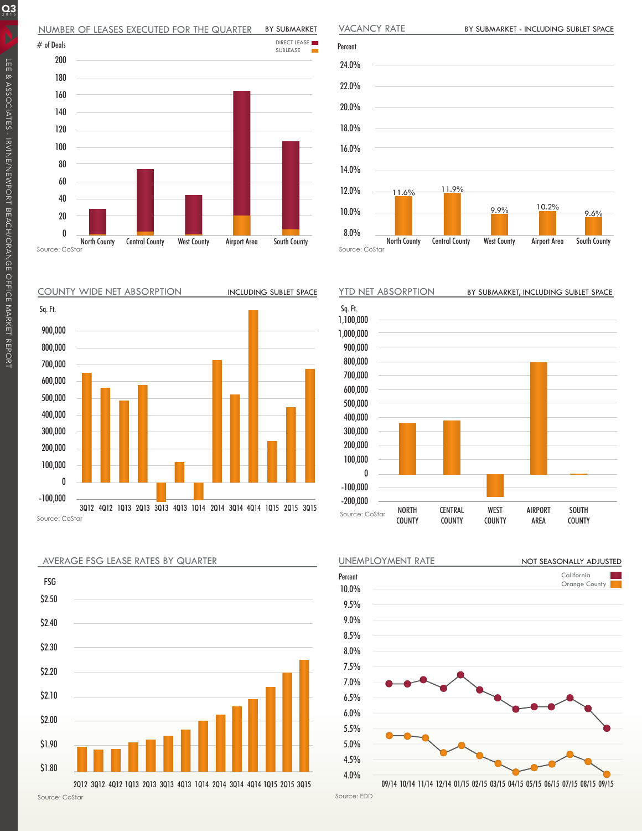## NUMBER OF LEASES EXECUTED FOR THE QUARTER BY SUBMARKET



COUNTY WIDE NET ABSORPTION









INCLUDING SUBLET SPACE YTD NET ABSORPTION BY SUBMARKET, INCLUDING SUBLET SPACE NORTH COUNTY **CENTRAL** COUNTY WEST COUNTY AIRPORT AREA SOUTH COUNTY 1,100,000 1,000,000 900,000 800,000 700,000 600,000 500,000 400,000 300,000 200,000 100,000 0 -100,000 -200,000 Sq. Ft.



Source: EDD

 $Q_3$ 

Source: CoStar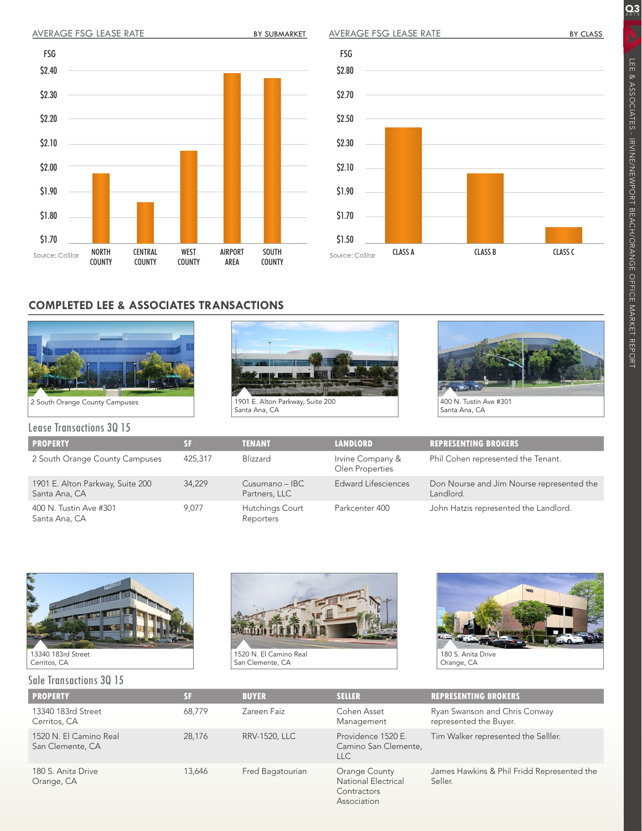BY SUBMARKET NORTH CENTRAL WEST AIRPORT SOUTH AVERAGE FSG LEASE RATE Source: CoStar \$2.40 \$2.30 \$2.20 \$2.10 \$2.00 \$1.90 \$1.80 \$1.70 FSG

COUNTY

AREA

COUNTY

## AVERAGE FSG LEASE RATE



# **COMPLETED LEE & ASSOCIATES TRANSACTIONS**

COUNTY



COUNTY





400 N. Tustin Ave #301 Santa Ana, CA

| <b>Lease Transactions 30 15</b>                   |         |                                 |                                     |                                                        |  |  |  |  |  |
|---------------------------------------------------|---------|---------------------------------|-------------------------------------|--------------------------------------------------------|--|--|--|--|--|
| <b>PROPERTY</b>                                   | SF      | <b>TENANT</b>                   | <b>LANDLORD</b>                     | <b>REPRESENTING BROKERS</b>                            |  |  |  |  |  |
| 2 South Orange County Campuses                    | 425,317 | Blizzard                        | Irvine Company &<br>Olen Properties | Phil Cohen represented the Tenant.                     |  |  |  |  |  |
| 1901 E. Alton Parkway, Suite 200<br>Santa Ana, CA | 34.229  | Cusumano - IBC<br>Partners, LLC | Edward Lifesciences                 | Don Nourse and Jim Nourse represented the<br>Landlord. |  |  |  |  |  |
| 400 N. Tustin Ave #301<br>Santa Ana, CA           | 9.077   | Hutchings Court<br>Reporters    | Parkcenter 400                      | John Hatzis represented the Landlord.                  |  |  |  |  |  |



## Sale Transactions 3Q 15





180 S. Anita Drive Orange, CA

|  | <b>PROPERTY</b>                            | SF     | <b>BUYER</b>         | <b>SELLER</b>                                                      | <b>REPRESENTING BROKERS</b>                             |
|--|--------------------------------------------|--------|----------------------|--------------------------------------------------------------------|---------------------------------------------------------|
|  | 13340 183rd Street<br>Cerritos, CA         | 68.779 | Zareen Faiz          | Cohen Asset<br>Management                                          | Ryan Swanson and Chris Conway<br>represented the Buyer. |
|  | 1520 N. El Camino Real<br>San Clemente, CA | 28.176 | <b>RRV-1520, LLC</b> | Providence 1520 E.<br>Camino San Clemente,<br><b>LLC</b>           | Tim Walker represented the Selller.                     |
|  | 180 S. Anita Drive<br>Orange, CA           | 13.646 | Fred Bagatourian     | Orange County<br>National Electrical<br>Contractors<br>Association | James Hawkins & Phil Fridd Represented the<br>Seller.   |

 $Q_3$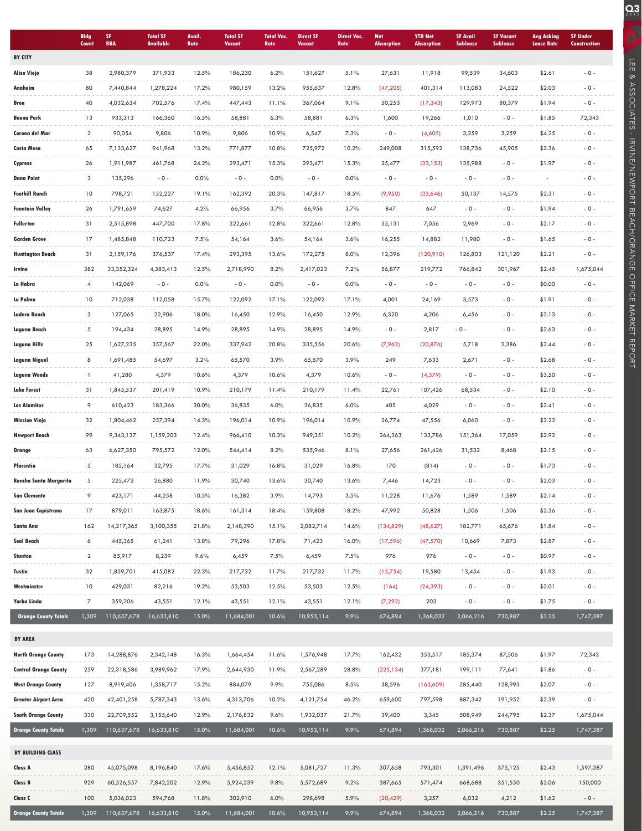|                              | <b>Bldg</b><br>Count | SF<br><b>RBA</b>  | <b>Total SF</b><br><b>Available</b> | Avail.<br>Rate | <b>Total SF</b><br>Vacant | <b>Total Vac.</b><br>Rate | <b>Direct SF</b><br><b>Vacant</b> | <b>Direct Vac.</b><br>Rate | <b>Net</b><br><b>Absorption</b> | <b>YTD Net</b><br><b>Absorption</b> | <b>SF Avail</b><br><b>Sublease</b> | <b>SF Vacant</b><br><b>Sublease</b> | <b>Avg Asking</b><br><b>Lease Rate</b> | <b>SF Under</b><br><b>Construction</b> |
|------------------------------|----------------------|-------------------|-------------------------------------|----------------|---------------------------|---------------------------|-----------------------------------|----------------------------|---------------------------------|-------------------------------------|------------------------------------|-------------------------------------|----------------------------------------|----------------------------------------|
| <b>BY CITY</b>               |                      |                   |                                     |                |                           |                           |                                   |                            |                                 |                                     |                                    |                                     |                                        |                                        |
| <b>Aliso Viejo</b>           | 38                   | 2,980,379         | 371,933                             | 12.5%          | 186,230                   | 6.2%                      | 151,627                           | 5.1%                       | 27,631                          | 11,918                              | 99,539                             | 34,603                              | \$2.61                                 | $-0 -$                                 |
| Anaheim                      | 80                   | 7,440,844         | 1,278,224                           | 17.2%          | 980,159                   | 13.2%                     | 955,637                           | 12.8%                      | (47, 205)                       | 401,314                             | 113,083                            | 24,522                              | \$2.03                                 | $-0 -$                                 |
| Brea                         | 40                   | 4,032,634         | 702,576                             | 17.4%          | 447,443                   | 11.1%                     | 367,064                           | 9.1%                       | 50,253                          | (17, 343)                           | 129,973                            | 80,379                              | \$1.94                                 | $-0 -$                                 |
| <b>Buena Park</b>            | 13                   | 933,313           | 166,360                             | 16.5%          | 58,881                    | 6.3%                      | 58,881                            | 6.3%                       | 1,600                           | 19,266                              | 1,010                              | $-0 -$                              | \$1.85                                 | 72,343                                 |
| Corona del Mar               | $\overline{2}$       | 90,054            | 9,806                               | 10.9%          | 9,806                     | 10.9%                     | 6,547                             | 7.3%                       | $-0 -$                          | (4,605)                             | 3,259                              | 3,259                               | \$4.25                                 | $-0 -$                                 |
| Costa Mesa                   | 65                   | 7,133,627         | 941,968                             | 13.2%          | 771,877                   | 10.8%                     | 725,972                           | 10.2%                      | 249,008                         | 315,592                             | 138,736                            | 45,905                              | \$2.36                                 | $-0 -$                                 |
| Cypress                      | 26                   | 1,911,987         | 461,768                             | 24.2%          | 293,471                   | 15.3%                     | 293,471                           | 15.3%                      | 25,477                          | (33, 153)                           | 135,988                            | $-0 -$                              | \$1.97                                 | $-0 -$                                 |
| <b>Dana Point</b>            | 3                    | 135,296           | $-0 -$                              | 0.0%           | $-0 -$                    | 0.0%                      | $-0-$                             | 0.0%                       | $-0 -$                          | $-0 -$                              | $-0 -$                             | $-0 -$                              |                                        | $-0 -$                                 |
| <b>Foothill Ranch</b>        | 10                   | 798,721           | 152,227                             | 19.1%          | 162,392                   | 20.3%                     | 147,817                           | 18.5%                      | (9,950)                         | (33,646)                            | 50,137                             | 14,575                              | \$2.31                                 | $-0 -$                                 |
| <b>Fountain Valley</b>       | 26                   | 1,791,659         | 74,627                              | 4.2%           | 66,956                    | 3.7%                      | 66,956                            | 3.7%                       | 847                             | 647                                 | $-0 -$                             | $-0 -$                              | \$1.94                                 | $-0 -$                                 |
| Fullerton                    | 31                   | 2,515,898         | 447,700                             | 17.8%          | 322,661                   | 12.8%                     | 322,661                           | 12.8%                      | 55,131                          | 7,056                               | 2,969                              | $-0 -$                              | \$2.17                                 | $-0 -$                                 |
| Garden Grove                 | 17                   | 1,485,848         | 110,723                             | 7.5%           | 54,164                    | 3.6%                      | 54,164                            | 3.6%                       | 16,255                          | 14,882                              | 11,980                             | $-0 -$                              | \$1.65                                 | $-0 -$                                 |
| Huntington Beach             | 31                   | 2,159,176         | 376,537                             | 17.4%          | 293,395                   | 13.6%                     | 172,275                           | 8.0%                       | 12,396                          | (120,910)                           | 126,803                            | 121,120                             | \$2.21                                 | $-0 -$                                 |
| Irvine                       | 382                  | 33, 352, 324      | 4,383,413                           | 12.5%          | 2,718,990                 | 8.2%                      | 2,417,023                         | 7.2%                       | 56,877                          | 219,772                             | 766,842                            | 301,967                             | \$2.45                                 | 1,675,044                              |
| La Habra                     | 4                    | 142,069           | $-0 -$                              | 0.0%           | $-0 -$                    | 0.0%                      | $-0 -$                            | 0.0%                       | $-0 -$                          | $-0 -$                              | $-0 -$                             | $-0 -$                              | \$0.00                                 | $-0 -$                                 |
| La Palma                     | 10                   | 712,038           | 112,058                             | 15.7%          | 122,092                   | 17.1%                     | 122,092                           | 17.1%                      | 4,001                           | 24,169                              | 3,573                              | $-0 -$                              | \$1.91                                 | $-0 -$                                 |
| Ladera Ranch                 | 3                    | 127,065           | 22,906                              | 18.0%          | 16,450                    | 12.9%                     | 16,450                            | 12.9%                      | 6,320                           | 4,206                               | 6,456                              | $-0 -$                              | \$2.13                                 | $-0 -$                                 |
| Laguna Beach                 | 5                    | 194,434           | 28,895                              | 14.9%          | 28,895                    | 14.9%                     | 28,895                            | 14.9%                      | $-0 -$                          | 2,817                               | $-0 -$                             | $-0 -$                              | \$2.63                                 | $-0 -$                                 |
| Laguna Hills                 | 25                   | 1,627,235         | 357,567                             | 22.0%          | 337,942                   | 20.8%                     | 335,556                           | 20.6%                      | (7,962)                         | (20, 876)                           | 5,718                              | 2,386                               | \$2.44                                 | $-0 -$                                 |
| Laguna Niguel                | 8                    | 1,691,485         | 54,697                              | 3.2%           | 65,570                    | 3.9%                      | 65,570                            | 3.9%                       | 249                             | 7,633                               | 2,671                              | $-0 -$                              | \$2.68                                 | $-0 -$                                 |
| Laguna Woods                 | 1                    | 41,280            | 4,379                               | 10.6%          | 4,379                     | 10.6%                     | 4,379                             | 10.6%                      | $-0 -$                          | (4, 379)                            | $-0 -$                             | $-0 -$                              | \$3.50                                 | $-0 -$                                 |
| <b>Lake Forest</b>           | 31                   | 1,845,537         | 201,419                             | 10.9%          | 210,179                   | 11.4%                     | 210,179                           | 11.4%                      | 22,761                          | 107,426                             | 68,534                             | $-0 -$                              | \$2.10                                 | $-0 -$                                 |
| <b>Los Alamitos</b>          | 9                    | 610,423           | 183,366                             | 30.0%          | 36,835                    | 6.0%                      | 36,835                            | 6.0%                       | 405                             | 4,029                               | $-0 -$                             | $-0 -$                              | \$2.41                                 | $-0 -$                                 |
| <b>Mission Viejo</b>         | 32                   | 1,804,462         | 257,394                             | 14.3%          | 196,014                   | 10.9%                     | 196,014                           | 10.9%                      | 26,774                          | 47,556                              | 6,060                              | $-0 -$                              | \$2.22                                 | $-0 -$                                 |
| <b>Newport Beach</b>         | 99                   | 9,343,137         | 1,159,203                           | 12.4%          | 966,410                   | 10.3%                     | 949,351                           | 10.2%                      | 264,363                         | 133,786                             | 151,364                            | 17,059                              | \$2.92                                 | $-0 -$                                 |
| Orange                       | 63                   | 6,627,350         | 795,572                             | 12.0%          | 544,414                   | 8.2%                      | 535,946                           | 8.1%                       | 27,656                          | 261,426                             | 31,532                             | 8,468                               | \$2.15                                 | $-0 -$                                 |
| Placentia                    | 5                    | 185,164           | 32,795                              | 17.7%          | 31,029                    | 16.8%                     | 31,029                            | 16.8%                      | 170                             | (814)                               | $-0-$                              | $-0 -$                              | \$1.73                                 | $-0 -$                                 |
| Rancho Santa Margarita       | 5                    | 225,472           | 26,880                              | 11.9%          | 30,740                    | 13.6%                     | 30,740                            | 13.6%                      | 7,446                           | 14,723                              | $-0 -$                             | $-0 -$                              | \$2.03                                 | $-0 -$                                 |
| <b>San Clemente</b>          | $\circ$              | 423,171           | 44,258                              | 10.5%          | 16,382                    | 3.9%                      | 14,793                            | 3.5%                       | 11,228                          | 11,676                              | 1,589                              | 1,589                               | \$2.14                                 | $-0-$                                  |
| San Juan Capistrano          | 17                   | 879,011           | 163,875                             | 18.6%          | 161,314                   | 18.4%                     | 159,808                           | 18.2%                      | 47,992                          | 50,828                              | 1,506                              | 1,506                               | \$2.36                                 | $-0 -$                                 |
| Santa Ana                    | 162                  | 14,217,365        | 3,100,355                           | 21.8%          | 2,148,390                 | 15.1%                     | 2,082,714                         | 14.6%                      | (134,829)                       | (48,627)                            | 182,771                            | 65,676                              | \$1.84                                 | $-0 -$                                 |
| Seal Beach<br>Stanton        | 6<br>$\overline{a}$  | 445,365<br>85,917 | 61,241                              | 13.8%<br>9.6%  | 79,296                    | 17.8%                     | 71,423                            | 16.0%<br>7.5%              | (17, 596)<br>976                | (47, 570)<br>976                    | 10,669<br>$-0-$                    | 7,873<br>$-0 -$                     | \$2.87<br>\$0.97                       | $-0 -$<br>$-0 -$                       |
| Tustin                       | 32                   | 1,859,701         | 8,239<br>415,082                    | 22.3%          | 6,459<br>217,732          | 7.5%<br>11.7%             | 6,459<br>217,732                  | 11.7%                      | (15,754)                        | 19,580                              | 13,454                             | $-0 -$                              | \$1.93                                 | $-0 -$                                 |
| Westminster                  | 10                   | 429,031           | 82,216                              | 19.2%          | 53,503                    | 12.5%                     | 53,503                            | 12.5%                      | (164)                           | (24, 393)                           | $-0-$                              | $-0 -$                              | \$2.01                                 | $-0-$                                  |
| Yorba Linda                  | 7                    | 359,206           | 43,551                              | 12.1%          | 43,551                    | 12.1%                     | 43,551                            | 12.1%                      | (7, 292)                        | 203                                 | $-0-$                              | $-0 -$                              | \$1.75                                 | $-0 -$                                 |
| <b>Orange County Totals</b>  | 1,309                | 110,637,678       | 16,633,810                          | 15.0%          | 11,684,001                | 10.6%                     | 10,953,114                        | 9.9%                       | 674,894                         | 1,368,032                           | 2,066,216                          | 730,887                             | \$2.25                                 | 1,747,387                              |
|                              |                      |                   |                                     |                |                           |                           |                                   |                            |                                 |                                     |                                    |                                     |                                        |                                        |
| <b>BY AREA</b>               |                      |                   |                                     |                |                           |                           |                                   |                            |                                 |                                     |                                    |                                     |                                        |                                        |
| <b>North Orange County</b>   | 173                  | 14,288,876        | 2,342,148                           | 16.3%          | 1,664,454                 | 11.6%                     | 1,576,948                         | 17.7%                      | 162,432                         | 353,517                             | 185,374                            | 87,506                              | \$1.97                                 | 72,343                                 |
| <b>Central Orange County</b> | 259                  | 22,318,586        | 3,989,962                           | 17.9%          | 2,644,930                 | 11.9%                     | 2,567,289                         | 28.8%                      | (225, 134)                      | 377,181                             | 199,111                            | 77,641                              | \$1.86                                 | $-0 -$                                 |
| <b>West Orange County</b>    | 127                  | 8,919,406         | 1,358,717                           | 15.2%          | 884,079                   | 9.9%                      | 755,086                           | 8.5%                       | 38,596                          | (163,609)                           | 285,440                            | 128,993                             | \$2.07                                 | $-0 -$                                 |
| Greater Airport Area         | 420                  | 42,401,258        | 5,787,343                           | 13.6%          | 4,313,706                 | 10.2%                     | 4,121,754                         | 46.2%                      | 659,600                         | 797,598                             | 887,342                            | 191,952                             | \$2.39                                 | $-0-$                                  |
| <b>South Orange County</b>   | 330                  | 22,709,552        | 3,155,640                           | 12.9%          | 2,176,832                 | 9.6%                      | 1,932,037                         | 21.7%                      | 39,400                          | 3,345                               | 508,949                            | 244,795                             | \$2.37                                 | 1,675,044                              |
| <b>Orange County Totals</b>  | 1,309                | 110,637,678       | 16,633,810                          | 15.0%          | 11,684,001                | 10.6%                     | 10,953,114                        | 9.9%                       | 674,894                         | 1,368,032                           | 2,066,216                          | 730,887                             | \$2.25                                 | 1,747,387                              |
| BY BUILDING CLASS            |                      |                   |                                     |                |                           |                           |                                   |                            |                                 |                                     |                                    |                                     |                                        |                                        |
| Class A                      | 280                  | 45,075,098        | 8,196,840                           | 17.6%          | 5,456,852                 | 12.1%                     | 5,081,727                         | 11.3%                      | 307,658                         | 793,301                             | 1,391,496                          | 375,125                             | \$2.43                                 | 1,597,387                              |
| Class B                      | 929                  | 60,526,557        | 7,842,202                           | 12.9%          | 5,924,239                 | 9.8%                      | 5,572,689                         | 9.2%                       | 387,665                         | 571,474                             | 668,688                            | 351,550                             | \$2.06                                 | 150,000                                |
| Class C                      | 100                  | 5,036,023         | 594,768                             | 11.8%          | 302,910                   | 6.0%                      | 298,698                           | 5.9%                       | (20, 429)                       | 3,257                               | 6,032                              | 4,212                               | \$1.62                                 | $-0 -$                                 |
| <b>Orange County Totals</b>  | 1,309                | 110,637,678       | 16,633,810                          | 15.0%          | 11,684,001                | 10.6%                     | 10,953,114                        | 9.9%                       | 674,894                         | 1,368,032                           | 2,066,216                          | 730,887                             | \$2.25                                 | 1,747,387                              |

LEE & ASSOCIATES - IRVINE/NEWPORT BEACH/ORANGE OFFICE MARKET REPORT

**CO**E ASSOCIATES - IRVINE/NEWPORT BEACH/ORANGE OFFICE MARKET REPORT